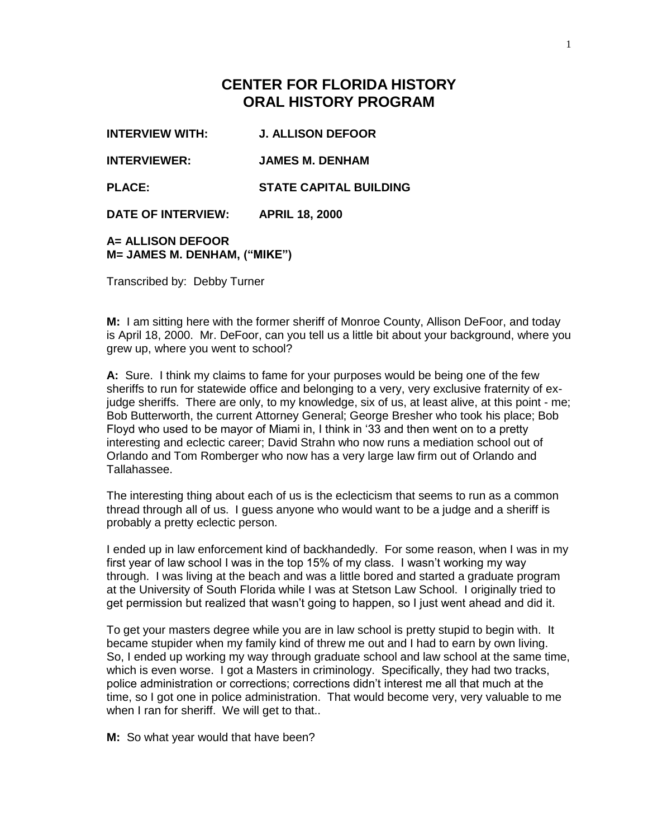## **CENTER FOR FLORIDA HISTORY ORAL HISTORY PROGRAM**

**INTERVIEW WITH: J. ALLISON DEFOOR** 

**INTERVIEWER: JAMES M. DENHAM**

**PLACE: STATE CAPITAL BUILDING** 

**DATE OF INTERVIEW: APRIL 18, 2000**

## **A= ALLISON DEFOOR M= JAMES M. DENHAM, ("MIKE")**

Transcribed by: Debby Turner

**M:** I am sitting here with the former sheriff of Monroe County, Allison DeFoor, and today is April 18, 2000. Mr. DeFoor, can you tell us a little bit about your background, where you grew up, where you went to school?

**A:** Sure. I think my claims to fame for your purposes would be being one of the few sheriffs to run for statewide office and belonging to a very, very exclusive fraternity of exjudge sheriffs. There are only, to my knowledge, six of us, at least alive, at this point - me; Bob Butterworth, the current Attorney General; George Bresher who took his place; Bob Floyd who used to be mayor of Miami in, I think in '33 and then went on to a pretty interesting and eclectic career; David Strahn who now runs a mediation school out of Orlando and Tom Romberger who now has a very large law firm out of Orlando and Tallahassee.

The interesting thing about each of us is the eclecticism that seems to run as a common thread through all of us. I guess anyone who would want to be a judge and a sheriff is probably a pretty eclectic person.

I ended up in law enforcement kind of backhandedly. For some reason, when I was in my first year of law school I was in the top 15% of my class. I wasn't working my way through. I was living at the beach and was a little bored and started a graduate program at the University of South Florida while I was at Stetson Law School. I originally tried to get permission but realized that wasn't going to happen, so I just went ahead and did it.

To get your masters degree while you are in law school is pretty stupid to begin with. It became stupider when my family kind of threw me out and I had to earn by own living. So, I ended up working my way through graduate school and law school at the same time, which is even worse. I got a Masters in criminology. Specifically, they had two tracks, police administration or corrections; corrections didn't interest me all that much at the time, so I got one in police administration. That would become very, very valuable to me when I ran for sheriff. We will get to that..

**M:** So what year would that have been?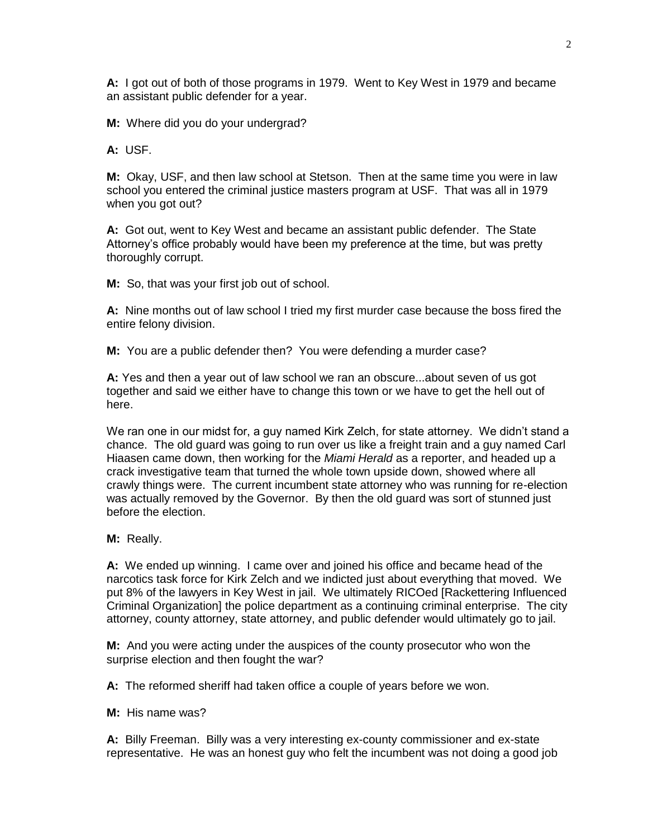**A:** I got out of both of those programs in 1979. Went to Key West in 1979 and became an assistant public defender for a year.

**M:** Where did you do your undergrad?

**A:** USF.

**M:** Okay, USF, and then law school at Stetson. Then at the same time you were in law school you entered the criminal justice masters program at USF. That was all in 1979 when you got out?

**A:** Got out, went to Key West and became an assistant public defender. The State Attorney's office probably would have been my preference at the time, but was pretty thoroughly corrupt.

**M:** So, that was your first job out of school.

**A:** Nine months out of law school I tried my first murder case because the boss fired the entire felony division.

**M:** You are a public defender then? You were defending a murder case?

**A:** Yes and then a year out of law school we ran an obscure...about seven of us got together and said we either have to change this town or we have to get the hell out of here.

We ran one in our midst for, a guy named Kirk Zelch, for state attorney. We didn't stand a chance. The old guard was going to run over us like a freight train and a guy named Carl Hiaasen came down, then working for the *Miami Herald* as a reporter, and headed up a crack investigative team that turned the whole town upside down, showed where all crawly things were. The current incumbent state attorney who was running for re-election was actually removed by the Governor. By then the old guard was sort of stunned just before the election.

**M:** Really.

**A:** We ended up winning. I came over and joined his office and became head of the narcotics task force for Kirk Zelch and we indicted just about everything that moved. We put 8% of the lawyers in Key West in jail. We ultimately RICOed [Rackettering Influenced Criminal Organization] the police department as a continuing criminal enterprise. The city attorney, county attorney, state attorney, and public defender would ultimately go to jail.

**M:** And you were acting under the auspices of the county prosecutor who won the surprise election and then fought the war?

**A:** The reformed sheriff had taken office a couple of years before we won.

**M:** His name was?

**A:** Billy Freeman. Billy was a very interesting ex-county commissioner and ex-state representative. He was an honest guy who felt the incumbent was not doing a good job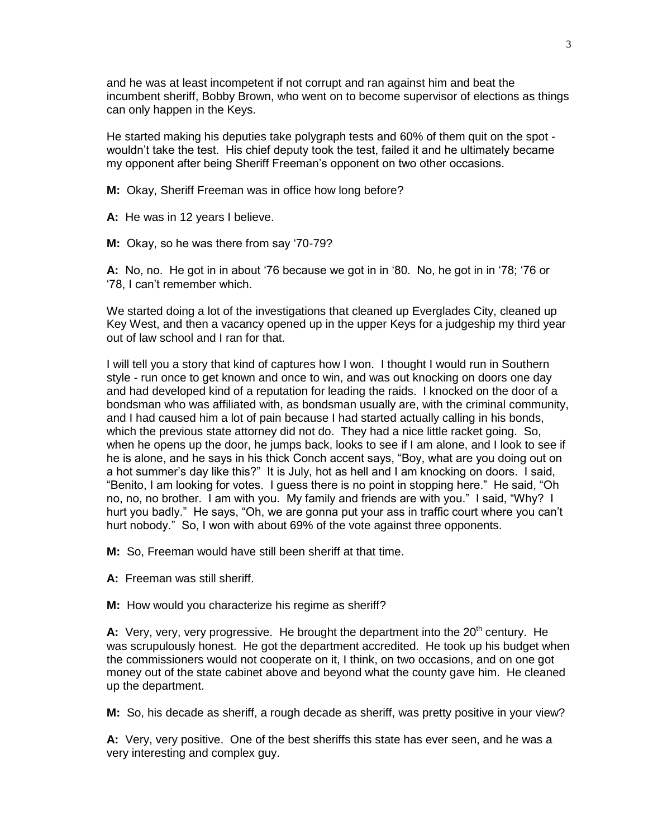and he was at least incompetent if not corrupt and ran against him and beat the incumbent sheriff, Bobby Brown, who went on to become supervisor of elections as things can only happen in the Keys.

He started making his deputies take polygraph tests and 60% of them quit on the spot wouldn't take the test. His chief deputy took the test, failed it and he ultimately became my opponent after being Sheriff Freeman's opponent on two other occasions.

**M:** Okay, Sheriff Freeman was in office how long before?

**A:** He was in 12 years I believe.

**M:** Okay, so he was there from say '70-79?

**A:** No, no. He got in in about '76 because we got in in '80. No, he got in in '78; '76 or '78, I can't remember which.

We started doing a lot of the investigations that cleaned up Everglades City, cleaned up Key West, and then a vacancy opened up in the upper Keys for a judgeship my third year out of law school and I ran for that.

I will tell you a story that kind of captures how I won. I thought I would run in Southern style - run once to get known and once to win, and was out knocking on doors one day and had developed kind of a reputation for leading the raids. I knocked on the door of a bondsman who was affiliated with, as bondsman usually are, with the criminal community, and I had caused him a lot of pain because I had started actually calling in his bonds, which the previous state attorney did not do. They had a nice little racket going. So, when he opens up the door, he jumps back, looks to see if I am alone, and I look to see if he is alone, and he says in his thick Conch accent says, "Boy, what are you doing out on a hot summer's day like this?" It is July, hot as hell and I am knocking on doors. I said, "Benito, I am looking for votes. I guess there is no point in stopping here." He said, "Oh no, no, no brother. I am with you. My family and friends are with you." I said, "Why? I hurt you badly." He says, "Oh, we are gonna put your ass in traffic court where you can't hurt nobody." So, I won with about 69% of the vote against three opponents.

**M:** So, Freeman would have still been sheriff at that time.

**A:** Freeman was still sheriff.

**M:** How would you characterize his regime as sheriff?

**A:** Very, very, very progressive. He brought the department into the 20<sup>th</sup> century. He was scrupulously honest. He got the department accredited. He took up his budget when the commissioners would not cooperate on it, I think, on two occasions, and on one got money out of the state cabinet above and beyond what the county gave him. He cleaned up the department.

**M:** So, his decade as sheriff, a rough decade as sheriff, was pretty positive in your view?

**A:** Very, very positive. One of the best sheriffs this state has ever seen, and he was a very interesting and complex guy.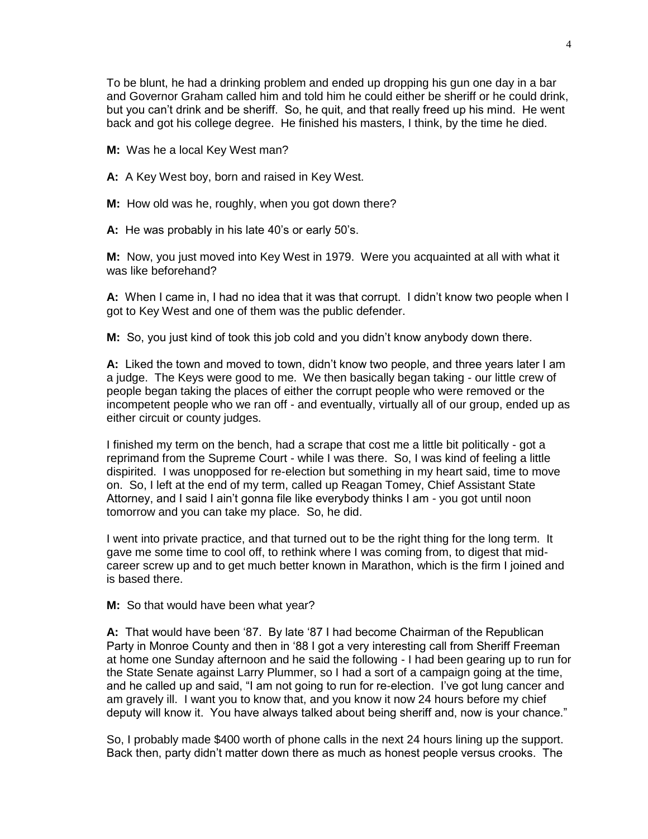4

To be blunt, he had a drinking problem and ended up dropping his gun one day in a bar and Governor Graham called him and told him he could either be sheriff or he could drink, but you can't drink and be sheriff. So, he quit, and that really freed up his mind. He went back and got his college degree. He finished his masters, I think, by the time he died.

**M:** Was he a local Key West man?

**A:** A Key West boy, born and raised in Key West.

**M:** How old was he, roughly, when you got down there?

**A:** He was probably in his late 40's or early 50's.

**M:** Now, you just moved into Key West in 1979. Were you acquainted at all with what it was like beforehand?

**A:** When I came in, I had no idea that it was that corrupt. I didn't know two people when I got to Key West and one of them was the public defender.

**M:** So, you just kind of took this job cold and you didn't know anybody down there.

**A:** Liked the town and moved to town, didn't know two people, and three years later I am a judge. The Keys were good to me. We then basically began taking - our little crew of people began taking the places of either the corrupt people who were removed or the incompetent people who we ran off - and eventually, virtually all of our group, ended up as either circuit or county judges.

I finished my term on the bench, had a scrape that cost me a little bit politically - got a reprimand from the Supreme Court - while I was there. So, I was kind of feeling a little dispirited. I was unopposed for re-election but something in my heart said, time to move on. So, I left at the end of my term, called up Reagan Tomey, Chief Assistant State Attorney, and I said I ain't gonna file like everybody thinks I am - you got until noon tomorrow and you can take my place. So, he did.

I went into private practice, and that turned out to be the right thing for the long term. It gave me some time to cool off, to rethink where I was coming from, to digest that midcareer screw up and to get much better known in Marathon, which is the firm I joined and is based there.

**M:** So that would have been what year?

**A:** That would have been '87. By late '87 I had become Chairman of the Republican Party in Monroe County and then in '88 I got a very interesting call from Sheriff Freeman at home one Sunday afternoon and he said the following - I had been gearing up to run for the State Senate against Larry Plummer, so I had a sort of a campaign going at the time, and he called up and said, "I am not going to run for re-election. I've got lung cancer and am gravely ill. I want you to know that, and you know it now 24 hours before my chief deputy will know it. You have always talked about being sheriff and, now is your chance."

So, I probably made \$400 worth of phone calls in the next 24 hours lining up the support. Back then, party didn't matter down there as much as honest people versus crooks. The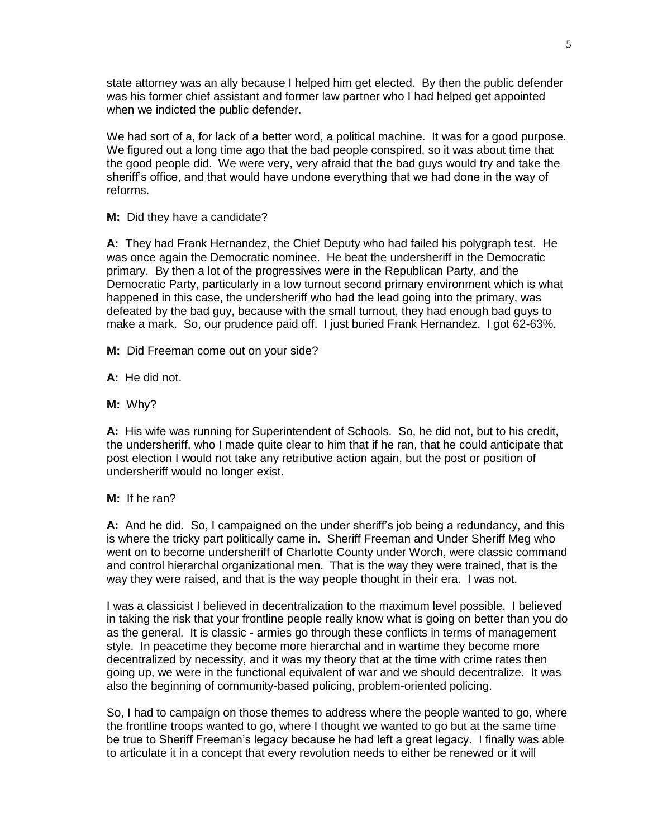state attorney was an ally because I helped him get elected. By then the public defender was his former chief assistant and former law partner who I had helped get appointed when we indicted the public defender.

We had sort of a, for lack of a better word, a political machine. It was for a good purpose. We figured out a long time ago that the bad people conspired, so it was about time that the good people did. We were very, very afraid that the bad guys would try and take the sheriff's office, and that would have undone everything that we had done in the way of reforms.

**M:** Did they have a candidate?

**A:** They had Frank Hernandez, the Chief Deputy who had failed his polygraph test. He was once again the Democratic nominee. He beat the undersheriff in the Democratic primary. By then a lot of the progressives were in the Republican Party, and the Democratic Party, particularly in a low turnout second primary environment which is what happened in this case, the undersheriff who had the lead going into the primary, was defeated by the bad guy, because with the small turnout, they had enough bad guys to make a mark. So, our prudence paid off. I just buried Frank Hernandez. I got 62-63%.

- **M:** Did Freeman come out on your side?
- **A:** He did not.
- **M:** Why?

**A:** His wife was running for Superintendent of Schools. So, he did not, but to his credit, the undersheriff, who I made quite clear to him that if he ran, that he could anticipate that post election I would not take any retributive action again, but the post or position of undersheriff would no longer exist.

## **M:** If he ran?

**A:** And he did. So, I campaigned on the under sheriff's job being a redundancy, and this is where the tricky part politically came in. Sheriff Freeman and Under Sheriff Meg who went on to become undersheriff of Charlotte County under Worch, were classic command and control hierarchal organizational men. That is the way they were trained, that is the way they were raised, and that is the way people thought in their era. I was not.

I was a classicist I believed in decentralization to the maximum level possible. I believed in taking the risk that your frontline people really know what is going on better than you do as the general. It is classic - armies go through these conflicts in terms of management style. In peacetime they become more hierarchal and in wartime they become more decentralized by necessity, and it was my theory that at the time with crime rates then going up, we were in the functional equivalent of war and we should decentralize. It was also the beginning of community-based policing, problem-oriented policing.

So, I had to campaign on those themes to address where the people wanted to go, where the frontline troops wanted to go, where I thought we wanted to go but at the same time be true to Sheriff Freeman's legacy because he had left a great legacy. I finally was able to articulate it in a concept that every revolution needs to either be renewed or it will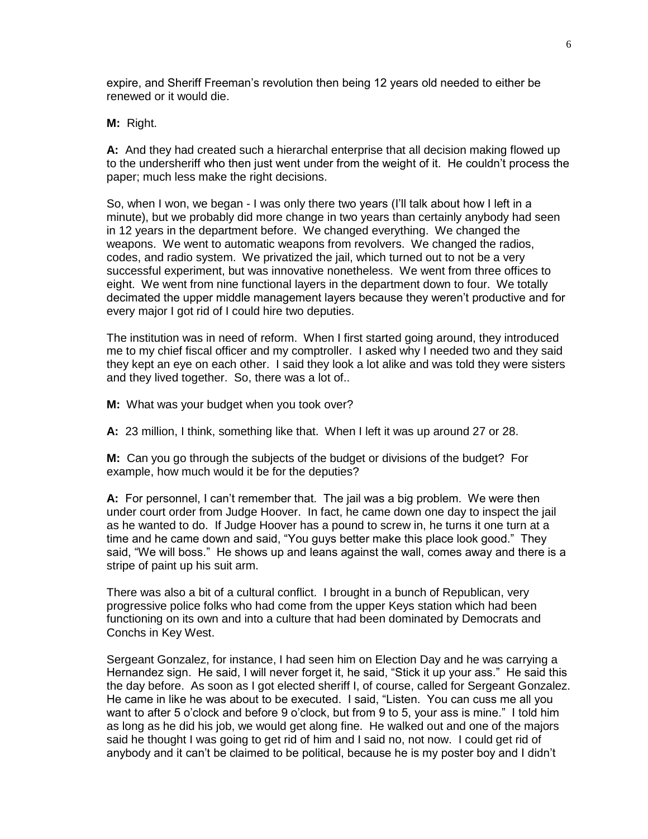expire, and Sheriff Freeman's revolution then being 12 years old needed to either be renewed or it would die.

**M:** Right.

**A:** And they had created such a hierarchal enterprise that all decision making flowed up to the undersheriff who then just went under from the weight of it. He couldn't process the paper; much less make the right decisions.

So, when I won, we began - I was only there two years (I'll talk about how I left in a minute), but we probably did more change in two years than certainly anybody had seen in 12 years in the department before. We changed everything. We changed the weapons. We went to automatic weapons from revolvers. We changed the radios, codes, and radio system. We privatized the jail, which turned out to not be a very successful experiment, but was innovative nonetheless. We went from three offices to eight. We went from nine functional layers in the department down to four. We totally decimated the upper middle management layers because they weren't productive and for every major I got rid of I could hire two deputies.

The institution was in need of reform. When I first started going around, they introduced me to my chief fiscal officer and my comptroller. I asked why I needed two and they said they kept an eye on each other. I said they look a lot alike and was told they were sisters and they lived together. So, there was a lot of..

**M:** What was your budget when you took over?

**A:** 23 million, I think, something like that. When I left it was up around 27 or 28.

**M:** Can you go through the subjects of the budget or divisions of the budget? For example, how much would it be for the deputies?

**A:** For personnel, I can't remember that. The jail was a big problem. We were then under court order from Judge Hoover. In fact, he came down one day to inspect the jail as he wanted to do. If Judge Hoover has a pound to screw in, he turns it one turn at a time and he came down and said, "You guys better make this place look good." They said, "We will boss." He shows up and leans against the wall, comes away and there is a stripe of paint up his suit arm.

There was also a bit of a cultural conflict. I brought in a bunch of Republican, very progressive police folks who had come from the upper Keys station which had been functioning on its own and into a culture that had been dominated by Democrats and Conchs in Key West.

Sergeant Gonzalez, for instance, I had seen him on Election Day and he was carrying a Hernandez sign. He said, I will never forget it, he said, "Stick it up your ass." He said this the day before. As soon as I got elected sheriff I, of course, called for Sergeant Gonzalez. He came in like he was about to be executed. I said, "Listen. You can cuss me all you want to after 5 o'clock and before 9 o'clock, but from 9 to 5, your ass is mine." I told him as long as he did his job, we would get along fine. He walked out and one of the majors said he thought I was going to get rid of him and I said no, not now. I could get rid of anybody and it can't be claimed to be political, because he is my poster boy and I didn't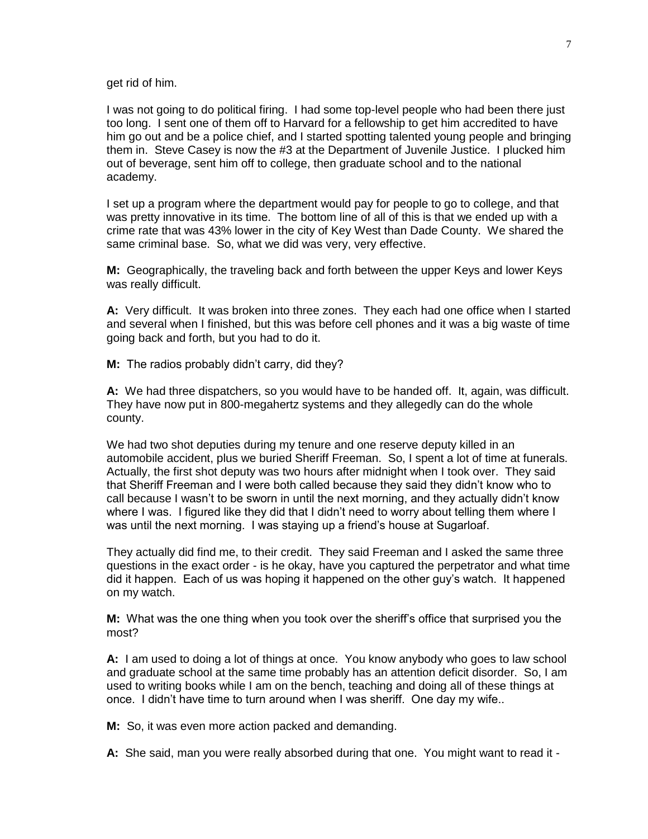get rid of him.

I was not going to do political firing. I had some top-level people who had been there just too long. I sent one of them off to Harvard for a fellowship to get him accredited to have him go out and be a police chief, and I started spotting talented young people and bringing them in. Steve Casey is now the #3 at the Department of Juvenile Justice. I plucked him out of beverage, sent him off to college, then graduate school and to the national academy.

I set up a program where the department would pay for people to go to college, and that was pretty innovative in its time. The bottom line of all of this is that we ended up with a crime rate that was 43% lower in the city of Key West than Dade County. We shared the same criminal base. So, what we did was very, very effective.

**M:** Geographically, the traveling back and forth between the upper Keys and lower Keys was really difficult.

**A:** Very difficult. It was broken into three zones. They each had one office when I started and several when I finished, but this was before cell phones and it was a big waste of time going back and forth, but you had to do it.

**M:** The radios probably didn't carry, did they?

**A:** We had three dispatchers, so you would have to be handed off. It, again, was difficult. They have now put in 800-megahertz systems and they allegedly can do the whole county.

We had two shot deputies during my tenure and one reserve deputy killed in an automobile accident, plus we buried Sheriff Freeman. So, I spent a lot of time at funerals. Actually, the first shot deputy was two hours after midnight when I took over. They said that Sheriff Freeman and I were both called because they said they didn't know who to call because I wasn't to be sworn in until the next morning, and they actually didn't know where I was. I figured like they did that I didn't need to worry about telling them where I was until the next morning. I was staying up a friend's house at Sugarloaf.

They actually did find me, to their credit. They said Freeman and I asked the same three questions in the exact order - is he okay, have you captured the perpetrator and what time did it happen. Each of us was hoping it happened on the other guy's watch. It happened on my watch.

**M:** What was the one thing when you took over the sheriff's office that surprised you the most?

**A:** I am used to doing a lot of things at once. You know anybody who goes to law school and graduate school at the same time probably has an attention deficit disorder. So, I am used to writing books while I am on the bench, teaching and doing all of these things at once. I didn't have time to turn around when I was sheriff. One day my wife..

**M:** So, it was even more action packed and demanding.

**A:** She said, man you were really absorbed during that one. You might want to read it -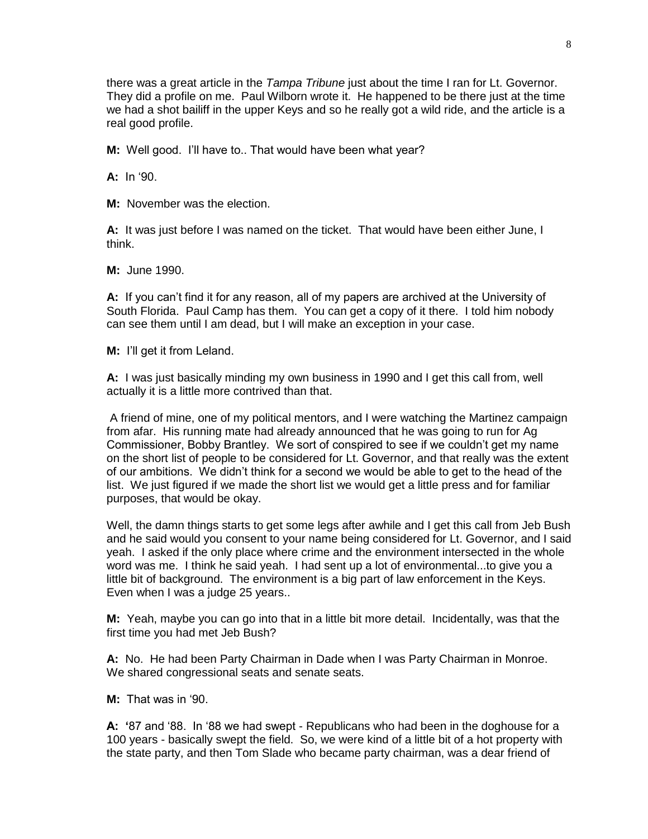there was a great article in the *Tampa Tribune* just about the time I ran for Lt. Governor. They did a profile on me. Paul Wilborn wrote it. He happened to be there just at the time we had a shot bailiff in the upper Keys and so he really got a wild ride, and the article is a real good profile.

**M:** Well good. I'll have to.. That would have been what year?

**A:** In '90.

**M:** November was the election.

**A:** It was just before I was named on the ticket. That would have been either June, I think.

**M:** June 1990.

**A:** If you can't find it for any reason, all of my papers are archived at the University of South Florida. Paul Camp has them. You can get a copy of it there. I told him nobody can see them until I am dead, but I will make an exception in your case.

**M:** I'll get it from Leland.

**A:** I was just basically minding my own business in 1990 and I get this call from, well actually it is a little more contrived than that.

A friend of mine, one of my political mentors, and I were watching the Martinez campaign from afar. His running mate had already announced that he was going to run for Ag Commissioner, Bobby Brantley. We sort of conspired to see if we couldn't get my name on the short list of people to be considered for Lt. Governor, and that really was the extent of our ambitions. We didn't think for a second we would be able to get to the head of the list. We just figured if we made the short list we would get a little press and for familiar purposes, that would be okay.

Well, the damn things starts to get some legs after awhile and I get this call from Jeb Bush and he said would you consent to your name being considered for Lt. Governor, and I said yeah. I asked if the only place where crime and the environment intersected in the whole word was me. I think he said yeah. I had sent up a lot of environmental...to give you a little bit of background. The environment is a big part of law enforcement in the Keys. Even when I was a judge 25 years..

**M:** Yeah, maybe you can go into that in a little bit more detail. Incidentally, was that the first time you had met Jeb Bush?

**A:** No. He had been Party Chairman in Dade when I was Party Chairman in Monroe. We shared congressional seats and senate seats.

**M:** That was in '90.

**A: '**87 and '88. In '88 we had swept - Republicans who had been in the doghouse for a 100 years - basically swept the field. So, we were kind of a little bit of a hot property with the state party, and then Tom Slade who became party chairman, was a dear friend of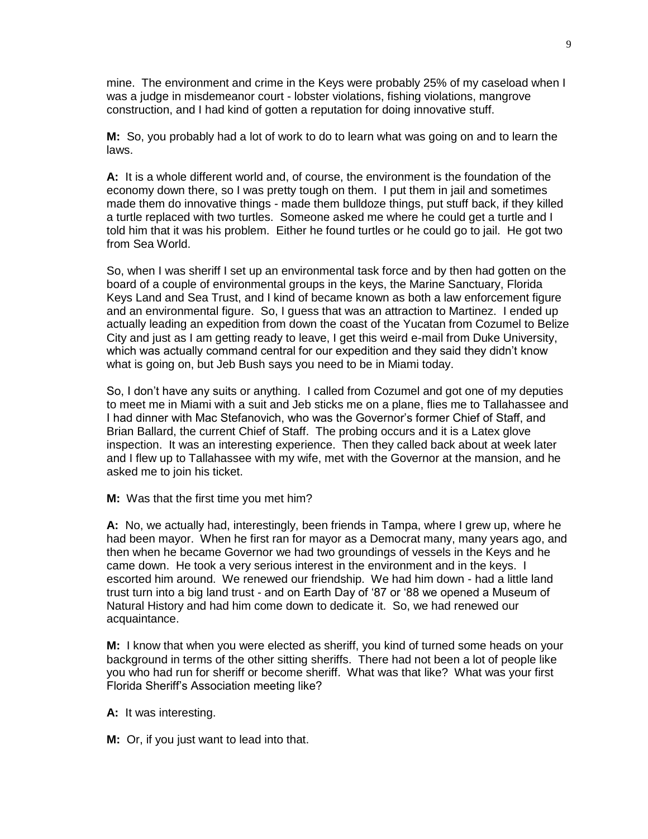mine. The environment and crime in the Keys were probably 25% of my caseload when I was a judge in misdemeanor court - lobster violations, fishing violations, mangrove construction, and I had kind of gotten a reputation for doing innovative stuff.

**M:** So, you probably had a lot of work to do to learn what was going on and to learn the laws.

**A:** It is a whole different world and, of course, the environment is the foundation of the economy down there, so I was pretty tough on them. I put them in jail and sometimes made them do innovative things - made them bulldoze things, put stuff back, if they killed a turtle replaced with two turtles. Someone asked me where he could get a turtle and I told him that it was his problem. Either he found turtles or he could go to jail. He got two from Sea World.

So, when I was sheriff I set up an environmental task force and by then had gotten on the board of a couple of environmental groups in the keys, the Marine Sanctuary, Florida Keys Land and Sea Trust, and I kind of became known as both a law enforcement figure and an environmental figure. So, I guess that was an attraction to Martinez. I ended up actually leading an expedition from down the coast of the Yucatan from Cozumel to Belize City and just as I am getting ready to leave, I get this weird e-mail from Duke University, which was actually command central for our expedition and they said they didn't know what is going on, but Jeb Bush says you need to be in Miami today.

So, I don't have any suits or anything. I called from Cozumel and got one of my deputies to meet me in Miami with a suit and Jeb sticks me on a plane, flies me to Tallahassee and I had dinner with Mac Stefanovich, who was the Governor's former Chief of Staff, and Brian Ballard, the current Chief of Staff. The probing occurs and it is a Latex glove inspection. It was an interesting experience. Then they called back about at week later and I flew up to Tallahassee with my wife, met with the Governor at the mansion, and he asked me to join his ticket.

**M:** Was that the first time you met him?

**A:** No, we actually had, interestingly, been friends in Tampa, where I grew up, where he had been mayor. When he first ran for mayor as a Democrat many, many years ago, and then when he became Governor we had two groundings of vessels in the Keys and he came down. He took a very serious interest in the environment and in the keys. I escorted him around. We renewed our friendship. We had him down - had a little land trust turn into a big land trust - and on Earth Day of '87 or '88 we opened a Museum of Natural History and had him come down to dedicate it. So, we had renewed our acquaintance.

**M:** I know that when you were elected as sheriff, you kind of turned some heads on your background in terms of the other sitting sheriffs. There had not been a lot of people like you who had run for sheriff or become sheriff. What was that like? What was your first Florida Sheriff's Association meeting like?

**A:** It was interesting.

**M:** Or, if you just want to lead into that.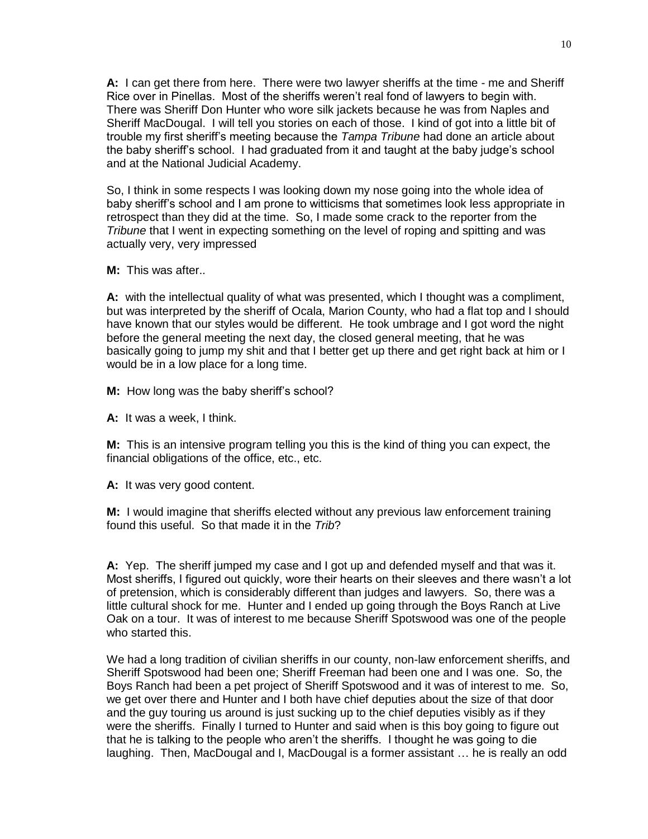**A:** I can get there from here. There were two lawyer sheriffs at the time - me and Sheriff Rice over in Pinellas. Most of the sheriffs weren't real fond of lawyers to begin with. There was Sheriff Don Hunter who wore silk jackets because he was from Naples and Sheriff MacDougal. I will tell you stories on each of those. I kind of got into a little bit of trouble my first sheriff's meeting because the *Tampa Tribune* had done an article about the baby sheriff's school. I had graduated from it and taught at the baby judge's school and at the National Judicial Academy.

So, I think in some respects I was looking down my nose going into the whole idea of baby sheriff's school and I am prone to witticisms that sometimes look less appropriate in retrospect than they did at the time. So, I made some crack to the reporter from the *Tribune* that I went in expecting something on the level of roping and spitting and was actually very, very impressed

**M:** This was after..

**A:** with the intellectual quality of what was presented, which I thought was a compliment, but was interpreted by the sheriff of Ocala, Marion County, who had a flat top and I should have known that our styles would be different. He took umbrage and I got word the night before the general meeting the next day, the closed general meeting, that he was basically going to jump my shit and that I better get up there and get right back at him or I would be in a low place for a long time.

**M:** How long was the baby sheriff's school?

**A:** It was a week, I think.

**M:** This is an intensive program telling you this is the kind of thing you can expect, the financial obligations of the office, etc., etc.

**A:** It was very good content.

**M:** I would imagine that sheriffs elected without any previous law enforcement training found this useful. So that made it in the *Trib*?

**A:** Yep. The sheriff jumped my case and I got up and defended myself and that was it. Most sheriffs, I figured out quickly, wore their hearts on their sleeves and there wasn't a lot of pretension, which is considerably different than judges and lawyers. So, there was a little cultural shock for me. Hunter and I ended up going through the Boys Ranch at Live Oak on a tour. It was of interest to me because Sheriff Spotswood was one of the people who started this.

We had a long tradition of civilian sheriffs in our county, non-law enforcement sheriffs, and Sheriff Spotswood had been one; Sheriff Freeman had been one and I was one. So, the Boys Ranch had been a pet project of Sheriff Spotswood and it was of interest to me. So, we get over there and Hunter and I both have chief deputies about the size of that door and the guy touring us around is just sucking up to the chief deputies visibly as if they were the sheriffs. Finally I turned to Hunter and said when is this boy going to figure out that he is talking to the people who aren't the sheriffs. I thought he was going to die laughing. Then, MacDougal and I, MacDougal is a former assistant … he is really an odd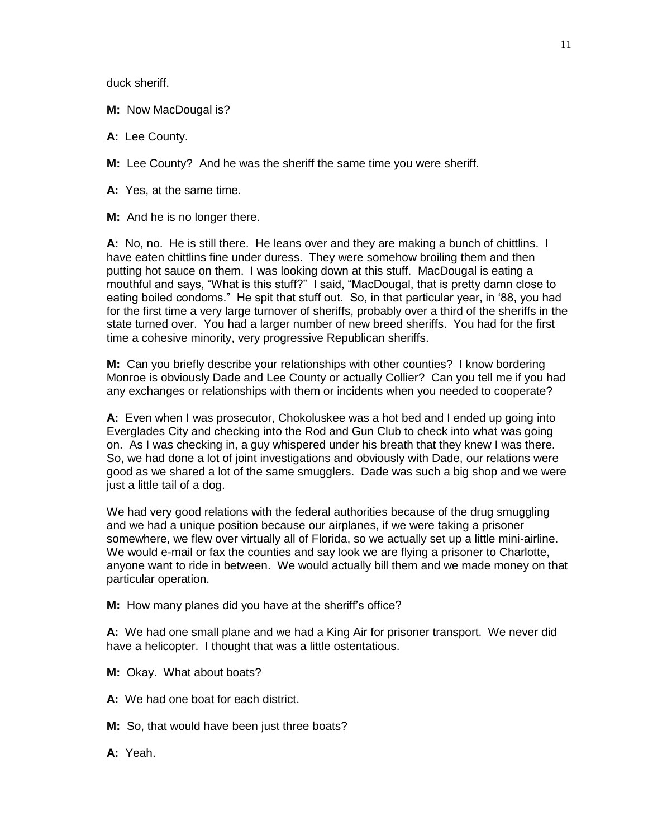duck sheriff.

**M:** Now MacDougal is?

**A:** Lee County.

**M:** Lee County? And he was the sheriff the same time you were sheriff.

**A:** Yes, at the same time.

**M:** And he is no longer there.

**A:** No, no. He is still there. He leans over and they are making a bunch of chittlins. I have eaten chittlins fine under duress. They were somehow broiling them and then putting hot sauce on them. I was looking down at this stuff. MacDougal is eating a mouthful and says, "What is this stuff?" I said, "MacDougal, that is pretty damn close to eating boiled condoms." He spit that stuff out. So, in that particular year, in '88, you had for the first time a very large turnover of sheriffs, probably over a third of the sheriffs in the state turned over. You had a larger number of new breed sheriffs. You had for the first time a cohesive minority, very progressive Republican sheriffs.

**M:** Can you briefly describe your relationships with other counties? I know bordering Monroe is obviously Dade and Lee County or actually Collier? Can you tell me if you had any exchanges or relationships with them or incidents when you needed to cooperate?

**A:** Even when I was prosecutor, Chokoluskee was a hot bed and I ended up going into Everglades City and checking into the Rod and Gun Club to check into what was going on. As I was checking in, a guy whispered under his breath that they knew I was there. So, we had done a lot of joint investigations and obviously with Dade, our relations were good as we shared a lot of the same smugglers. Dade was such a big shop and we were just a little tail of a dog.

We had very good relations with the federal authorities because of the drug smuggling and we had a unique position because our airplanes, if we were taking a prisoner somewhere, we flew over virtually all of Florida, so we actually set up a little mini-airline. We would e-mail or fax the counties and say look we are flying a prisoner to Charlotte, anyone want to ride in between. We would actually bill them and we made money on that particular operation.

**M:** How many planes did you have at the sheriff's office?

**A:** We had one small plane and we had a King Air for prisoner transport. We never did have a helicopter. I thought that was a little ostentatious.

- **M:** Okay. What about boats?
- **A:** We had one boat for each district.
- **M:** So, that would have been just three boats?
- **A:** Yeah.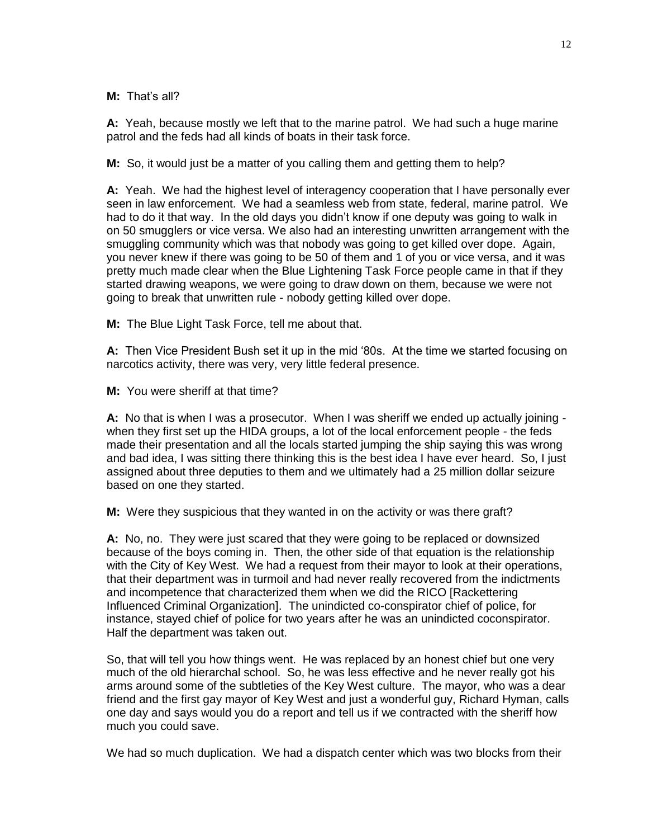**M:** That's all?

**A:** Yeah, because mostly we left that to the marine patrol. We had such a huge marine patrol and the feds had all kinds of boats in their task force.

**M:** So, it would just be a matter of you calling them and getting them to help?

**A:** Yeah. We had the highest level of interagency cooperation that I have personally ever seen in law enforcement. We had a seamless web from state, federal, marine patrol. We had to do it that way. In the old days you didn't know if one deputy was going to walk in on 50 smugglers or vice versa. We also had an interesting unwritten arrangement with the smuggling community which was that nobody was going to get killed over dope. Again, you never knew if there was going to be 50 of them and 1 of you or vice versa, and it was pretty much made clear when the Blue Lightening Task Force people came in that if they started drawing weapons, we were going to draw down on them, because we were not going to break that unwritten rule - nobody getting killed over dope.

**M:** The Blue Light Task Force, tell me about that.

**A:** Then Vice President Bush set it up in the mid '80s. At the time we started focusing on narcotics activity, there was very, very little federal presence.

**M:** You were sheriff at that time?

**A:** No that is when I was a prosecutor. When I was sheriff we ended up actually joining when they first set up the HIDA groups, a lot of the local enforcement people - the feds made their presentation and all the locals started jumping the ship saying this was wrong and bad idea, I was sitting there thinking this is the best idea I have ever heard. So, I just assigned about three deputies to them and we ultimately had a 25 million dollar seizure based on one they started.

**M:** Were they suspicious that they wanted in on the activity or was there graft?

**A:** No, no. They were just scared that they were going to be replaced or downsized because of the boys coming in. Then, the other side of that equation is the relationship with the City of Key West. We had a request from their mayor to look at their operations, that their department was in turmoil and had never really recovered from the indictments and incompetence that characterized them when we did the RICO [Rackettering Influenced Criminal Organization]. The unindicted co-conspirator chief of police, for instance, stayed chief of police for two years after he was an unindicted coconspirator. Half the department was taken out.

So, that will tell you how things went. He was replaced by an honest chief but one very much of the old hierarchal school. So, he was less effective and he never really got his arms around some of the subtleties of the Key West culture. The mayor, who was a dear friend and the first gay mayor of Key West and just a wonderful guy, Richard Hyman, calls one day and says would you do a report and tell us if we contracted with the sheriff how much you could save.

We had so much duplication. We had a dispatch center which was two blocks from their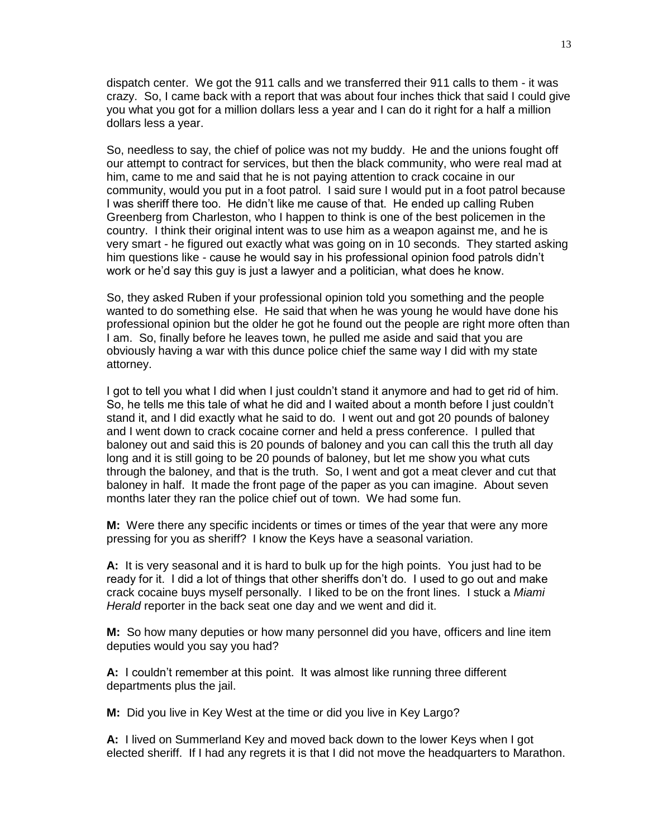dispatch center. We got the 911 calls and we transferred their 911 calls to them - it was crazy. So, I came back with a report that was about four inches thick that said I could give you what you got for a million dollars less a year and I can do it right for a half a million dollars less a year.

So, needless to say, the chief of police was not my buddy. He and the unions fought off our attempt to contract for services, but then the black community, who were real mad at him, came to me and said that he is not paying attention to crack cocaine in our community, would you put in a foot patrol. I said sure I would put in a foot patrol because I was sheriff there too. He didn't like me cause of that. He ended up calling Ruben Greenberg from Charleston, who I happen to think is one of the best policemen in the country. I think their original intent was to use him as a weapon against me, and he is very smart - he figured out exactly what was going on in 10 seconds. They started asking him questions like - cause he would say in his professional opinion food patrols didn't work or he'd say this guy is just a lawyer and a politician, what does he know.

So, they asked Ruben if your professional opinion told you something and the people wanted to do something else. He said that when he was young he would have done his professional opinion but the older he got he found out the people are right more often than I am. So, finally before he leaves town, he pulled me aside and said that you are obviously having a war with this dunce police chief the same way I did with my state attorney.

I got to tell you what I did when I just couldn't stand it anymore and had to get rid of him. So, he tells me this tale of what he did and I waited about a month before I just couldn't stand it, and I did exactly what he said to do. I went out and got 20 pounds of baloney and I went down to crack cocaine corner and held a press conference. I pulled that baloney out and said this is 20 pounds of baloney and you can call this the truth all day long and it is still going to be 20 pounds of baloney, but let me show you what cuts through the baloney, and that is the truth. So, I went and got a meat clever and cut that baloney in half. It made the front page of the paper as you can imagine. About seven months later they ran the police chief out of town. We had some fun.

**M:** Were there any specific incidents or times or times of the year that were any more pressing for you as sheriff? I know the Keys have a seasonal variation.

**A:** It is very seasonal and it is hard to bulk up for the high points. You just had to be ready for it. I did a lot of things that other sheriffs don't do. I used to go out and make crack cocaine buys myself personally. I liked to be on the front lines. I stuck a *Miami Herald* reporter in the back seat one day and we went and did it.

**M:** So how many deputies or how many personnel did you have, officers and line item deputies would you say you had?

**A:** I couldn't remember at this point. It was almost like running three different departments plus the jail.

**M:** Did you live in Key West at the time or did you live in Key Largo?

**A:** I lived on Summerland Key and moved back down to the lower Keys when I got elected sheriff. If I had any regrets it is that I did not move the headquarters to Marathon.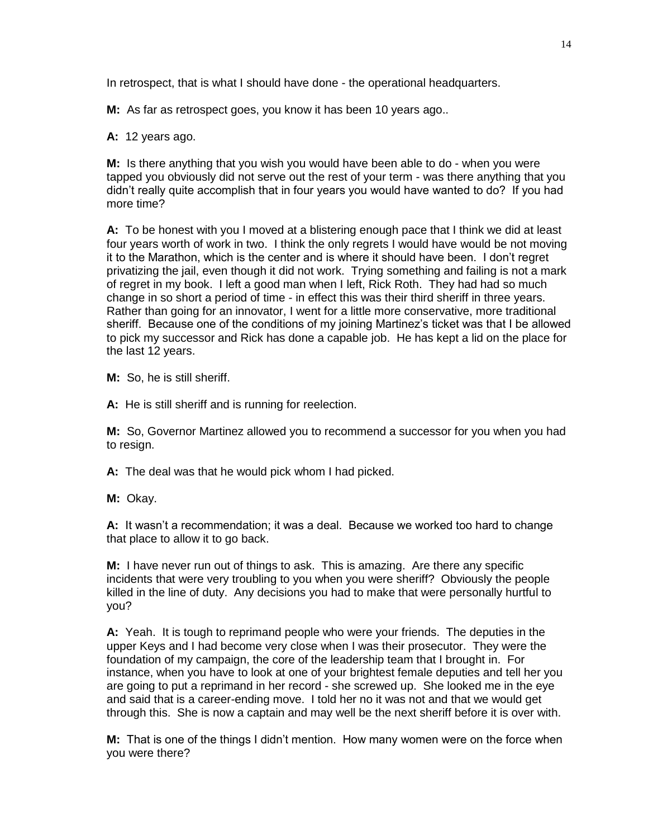In retrospect, that is what I should have done - the operational headquarters.

**M:** As far as retrospect goes, you know it has been 10 years ago..

**A:** 12 years ago.

**M:** Is there anything that you wish you would have been able to do - when you were tapped you obviously did not serve out the rest of your term - was there anything that you didn't really quite accomplish that in four years you would have wanted to do? If you had more time?

**A:** To be honest with you I moved at a blistering enough pace that I think we did at least four years worth of work in two. I think the only regrets I would have would be not moving it to the Marathon, which is the center and is where it should have been. I don't regret privatizing the jail, even though it did not work. Trying something and failing is not a mark of regret in my book. I left a good man when I left, Rick Roth. They had had so much change in so short a period of time - in effect this was their third sheriff in three years. Rather than going for an innovator, I went for a little more conservative, more traditional sheriff. Because one of the conditions of my joining Martinez's ticket was that I be allowed to pick my successor and Rick has done a capable job. He has kept a lid on the place for the last 12 years.

**M:** So, he is still sheriff.

**A:** He is still sheriff and is running for reelection.

**M:** So, Governor Martinez allowed you to recommend a successor for you when you had to resign.

**A:** The deal was that he would pick whom I had picked.

**M:** Okay.

**A:** It wasn't a recommendation; it was a deal. Because we worked too hard to change that place to allow it to go back.

**M:** I have never run out of things to ask. This is amazing. Are there any specific incidents that were very troubling to you when you were sheriff? Obviously the people killed in the line of duty. Any decisions you had to make that were personally hurtful to you?

**A:** Yeah. It is tough to reprimand people who were your friends. The deputies in the upper Keys and I had become very close when I was their prosecutor. They were the foundation of my campaign, the core of the leadership team that I brought in. For instance, when you have to look at one of your brightest female deputies and tell her you are going to put a reprimand in her record - she screwed up. She looked me in the eye and said that is a career-ending move. I told her no it was not and that we would get through this. She is now a captain and may well be the next sheriff before it is over with.

**M:** That is one of the things I didn't mention. How many women were on the force when you were there?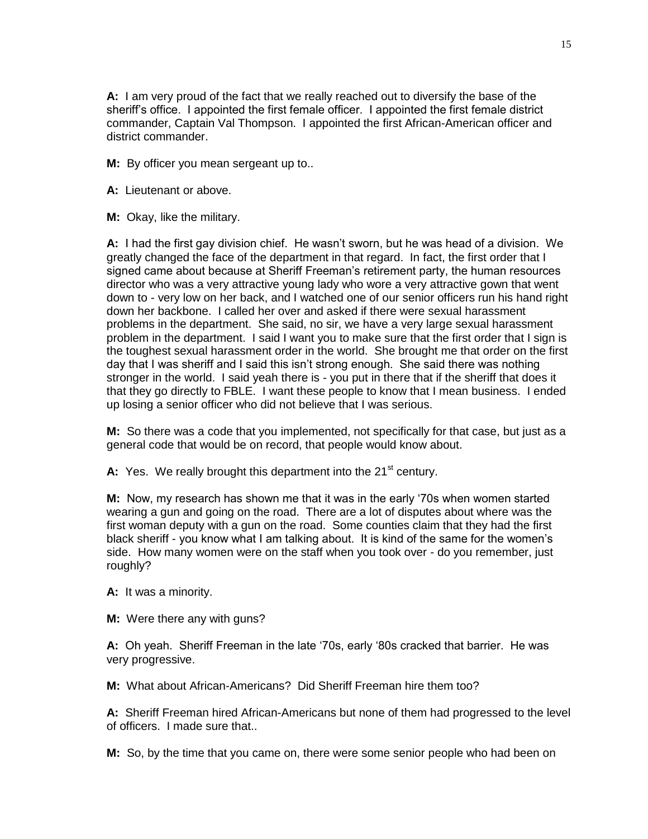**A:** I am very proud of the fact that we really reached out to diversify the base of the sheriff's office. I appointed the first female officer. I appointed the first female district commander, Captain Val Thompson. I appointed the first African-American officer and district commander.

**M:** By officer you mean sergeant up to..

**A:** Lieutenant or above.

**M:** Okay, like the military.

**A:** I had the first gay division chief. He wasn't sworn, but he was head of a division. We greatly changed the face of the department in that regard. In fact, the first order that I signed came about because at Sheriff Freeman's retirement party, the human resources director who was a very attractive young lady who wore a very attractive gown that went down to - very low on her back, and I watched one of our senior officers run his hand right down her backbone. I called her over and asked if there were sexual harassment problems in the department. She said, no sir, we have a very large sexual harassment problem in the department. I said I want you to make sure that the first order that I sign is the toughest sexual harassment order in the world. She brought me that order on the first day that I was sheriff and I said this isn't strong enough. She said there was nothing stronger in the world. I said yeah there is - you put in there that if the sheriff that does it that they go directly to FBLE. I want these people to know that I mean business. I ended up losing a senior officer who did not believe that I was serious.

**M:** So there was a code that you implemented, not specifically for that case, but just as a general code that would be on record, that people would know about.

A: Yes. We really brought this department into the 21<sup>st</sup> century.

**M:** Now, my research has shown me that it was in the early '70s when women started wearing a gun and going on the road. There are a lot of disputes about where was the first woman deputy with a gun on the road. Some counties claim that they had the first black sheriff - you know what I am talking about. It is kind of the same for the women's side. How many women were on the staff when you took over - do you remember, just roughly?

**A:** It was a minority.

**M:** Were there any with guns?

**A:** Oh yeah. Sheriff Freeman in the late '70s, early '80s cracked that barrier. He was very progressive.

**M:** What about African-Americans? Did Sheriff Freeman hire them too?

**A:** Sheriff Freeman hired African-Americans but none of them had progressed to the level of officers. I made sure that..

**M:** So, by the time that you came on, there were some senior people who had been on